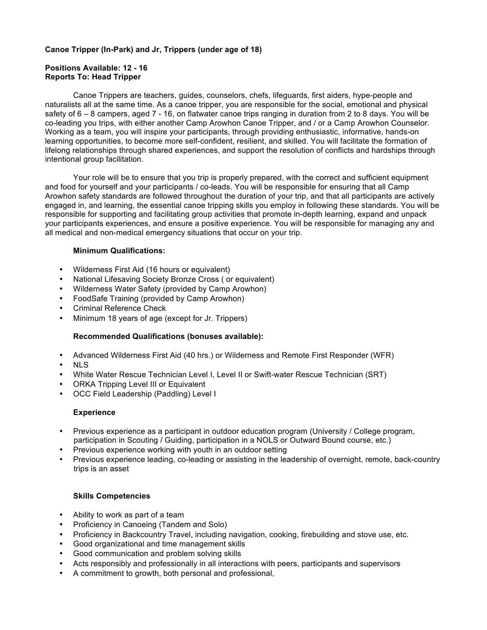### **Canoe Tripper (In-Park) and Jr, Trippers (under age of 18)**

## **Positions Available: 12 - 16 Reports To: Head Tripper**

Canoe Trippers are teachers, guides, counselors, chefs, lifeguards, first aiders, hype-people and naturalists all at the same time. As a canoe tripper, you are responsible for the social, emotional and physical safety of 6 – 8 campers, aged 7 - 16, on flatwater canoe trips ranging in duration from 2 to 8 days. You will be co-leading you trips, with either another Camp Arowhon Canoe Tripper, and / or a Camp Arowhon Counselor. Working as a team, you will inspire your participants, through providing enthusiastic, informative, hands-on learning opportunities, to become more self-confident, resilient, and skilled. You will facilitate the formation of lifelong relationships through shared experiences, and support the resolution of conflicts and hardships through intentional group facilitation.

Your role will be to ensure that you trip is properly prepared, with the correct and sufficient equipment and food for yourself and your participants / co-leads. You will be responsible for ensuring that all Camp Arowhon safety standards are followed throughout the duration of your trip, and that all participants are actively engaged in, and learning, the essential canoe tripping skills you employ in following these standards. You will be responsible for supporting and facilitating group activities that promote in-depth learning, expand and unpack your participants experiences, and ensure a positive experience. You will be responsible for managing any and all medical and non-medical emergency situations that occur on your trip.

#### **Minimum Qualifications:**

- Wilderness First Aid (16 hours or equivalent)
- National Lifesaving Society Bronze Cross ( or equivalent)
- Wilderness Water Safety (provided by Camp Arowhon)
- FoodSafe Training (provided by Camp Arowhon)
- Criminal Reference Check
- Minimum 18 years of age (except for Jr. Trippers)

#### **Recommended Qualifications (bonuses available):**

- Advanced Wilderness First Aid (40 hrs.) or Wilderness and Remote First Responder (WFR)
- NLS
- White Water Rescue Technician Level I, Level II or Swift-water Rescue Technician (SRT)
- ORKA Tripping Level III or Equivalent
- OCC Field Leadership (Paddling) Level I

#### **Experience**

- Previous experience as a participant in outdoor education program (University / College program, participation in Scouting / Guiding, participation in a NOLS or Outward Bound course, etc.)
- Previous experience working with youth in an outdoor setting
- Previous experience leading, co-leading or assisting in the leadership of overnight, remote, back-country trips is an asset

## **Skills Competencies**

- Ability to work as part of a team
- Proficiency in Canoeing (Tandem and Solo)
- Proficiency in Backcountry Travel, including navigation, cooking, firebuilding and stove use, etc.
- Good organizational and time management skills
- Good communication and problem solving skills
- Acts responsibly and professionally in all interactions with peers, participants and supervisors
- A commitment to growth, both personal and professional,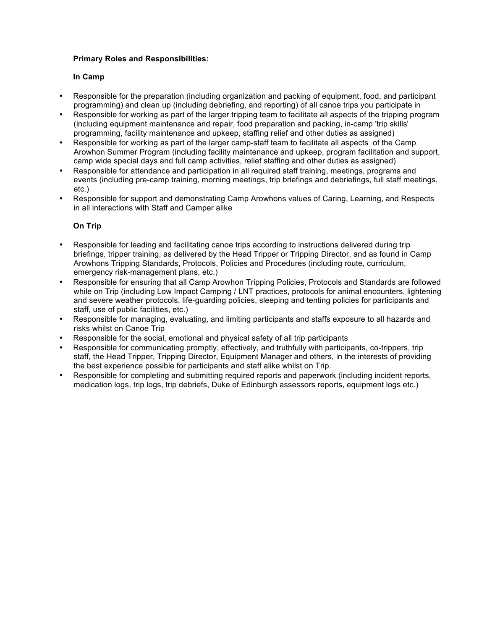# **In Camp**

- Responsible for the preparation (including organization and packing of equipment, food, and participant programming) and clean up (including debriefing, and reporting) of all canoe trips you participate in
- Responsible for working as part of the larger tripping team to facilitate all aspects of the tripping program (including equipment maintenance and repair, food preparation and packing, in-camp 'trip skills' programming, facility maintenance and upkeep, staffing relief and other duties as assigned)
- Responsible for working as part of the larger camp-staff team to facilitate all aspects of the Camp Arowhon Summer Program (including facility maintenance and upkeep, program facilitation and support, camp wide special days and full camp activities, relief staffing and other duties as assigned)
- Responsible for attendance and participation in all required staff training, meetings, programs and events (including pre-camp training, morning meetings, trip briefings and debriefings, full staff meetings, etc.)
- Responsible for support and demonstrating Camp Arowhons values of Caring, Learning, and Respects in all interactions with Staff and Camper alike

- Responsible for leading and facilitating canoe trips according to instructions delivered during trip briefings, tripper training, as delivered by the Head Tripper or Tripping Director, and as found in Camp Arowhons Tripping Standards, Protocols, Policies and Procedures (including route, curriculum, emergency risk-management plans, etc.)
- Responsible for ensuring that all Camp Arowhon Tripping Policies, Protocols and Standards are followed while on Trip (including Low Impact Camping / LNT practices, protocols for animal encounters, lightening and severe weather protocols, life-guarding policies, sleeping and tenting policies for participants and staff, use of public facilities, etc.)
- Responsible for managing, evaluating, and limiting participants and staffs exposure to all hazards and risks whilst on Canoe Trip
- Responsible for the social, emotional and physical safety of all trip participants
- Responsible for communicating promptly, effectively, and truthfully with participants, co-trippers, trip staff, the Head Tripper, Tripping Director, Equipment Manager and others, in the interests of providing the best experience possible for participants and staff alike whilst on Trip.
- Responsible for completing and submitting required reports and paperwork (including incident reports, medication logs, trip logs, trip debriefs, Duke of Edinburgh assessors reports, equipment logs etc.)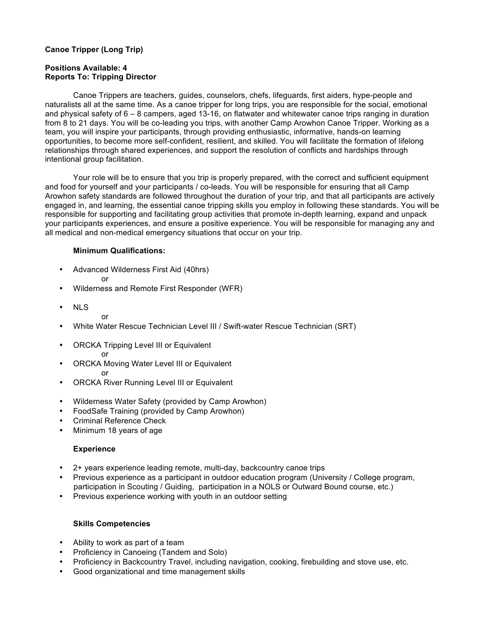# **Canoe Tripper (Long Trip)**

# **Positions Available: 4 Reports To: Tripping Director**

Canoe Trippers are teachers, guides, counselors, chefs, lifeguards, first aiders, hype-people and naturalists all at the same time. As a canoe tripper for long trips, you are responsible for the social, emotional and physical safety of 6 – 8 campers, aged 13-16, on flatwater and whitewater canoe trips ranging in duration from 8 to 21 days. You will be co-leading you trips, with another Camp Arowhon Canoe Tripper. Working as a team, you will inspire your participants, through providing enthusiastic, informative, hands-on learning opportunities, to become more self-confident, resilient, and skilled. You will facilitate the formation of lifelong relationships through shared experiences, and support the resolution of conflicts and hardships through intentional group facilitation.

Your role will be to ensure that you trip is properly prepared, with the correct and sufficient equipment and food for yourself and your participants / co-leads. You will be responsible for ensuring that all Camp Arowhon safety standards are followed throughout the duration of your trip, and that all participants are actively engaged in, and learning, the essential canoe tripping skills you employ in following these standards. You will be responsible for supporting and facilitating group activities that promote in-depth learning, expand and unpack your participants experiences, and ensure a positive experience. You will be responsible for managing any and all medical and non-medical emergency situations that occur on your trip.

#### **Minimum Qualifications:**

- Advanced Wilderness First Aid (40hrs) or
- Wilderness and Remote First Responder (WFR)
- NLS
	- or

or

- White Water Rescue Technician Level III / Swift-water Rescue Technician (SRT)
- ORCKA Tripping Level III or Equivalent
- ORCKA Moving Water Level III or Equivalent or
- ORCKA River Running Level III or Equivalent
- Wilderness Water Safety (provided by Camp Arowhon)
- FoodSafe Training (provided by Camp Arowhon)
- Criminal Reference Check
- Minimum 18 years of age

#### **Experience**

- 2+ years experience leading remote, multi-day, backcountry canoe trips
- Previous experience as a participant in outdoor education program (University / College program, participation in Scouting / Guiding, participation in a NOLS or Outward Bound course, etc.)
- Previous experience working with youth in an outdoor setting

## **Skills Competencies**

- Ability to work as part of a team
- Proficiency in Canoeing (Tandem and Solo)
- Proficiency in Backcountry Travel, including navigation, cooking, firebuilding and stove use, etc.
- Good organizational and time management skills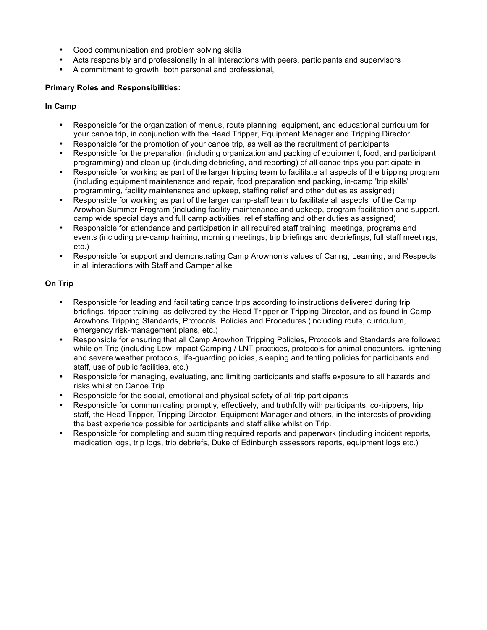- Good communication and problem solving skills
- Acts responsibly and professionally in all interactions with peers, participants and supervisors
- A commitment to growth, both personal and professional,

## **In Camp**

- Responsible for the organization of menus, route planning, equipment, and educational curriculum for your canoe trip, in conjunction with the Head Tripper, Equipment Manager and Tripping Director
- Responsible for the promotion of your canoe trip, as well as the recruitment of participants
- Responsible for the preparation (including organization and packing of equipment, food, and participant programming) and clean up (including debriefing, and reporting) of all canoe trips you participate in
- Responsible for working as part of the larger tripping team to facilitate all aspects of the tripping program (including equipment maintenance and repair, food preparation and packing, in-camp 'trip skills' programming, facility maintenance and upkeep, staffing relief and other duties as assigned)
- Responsible for working as part of the larger camp-staff team to facilitate all aspects of the Camp Arowhon Summer Program (including facility maintenance and upkeep, program facilitation and support, camp wide special days and full camp activities, relief staffing and other duties as assigned)
- Responsible for attendance and participation in all required staff training, meetings, programs and events (including pre-camp training, morning meetings, trip briefings and debriefings, full staff meetings, etc.)
- Responsible for support and demonstrating Camp Arowhon's values of Caring, Learning, and Respects in all interactions with Staff and Camper alike

- Responsible for leading and facilitating canoe trips according to instructions delivered during trip briefings, tripper training, as delivered by the Head Tripper or Tripping Director, and as found in Camp Arowhons Tripping Standards, Protocols, Policies and Procedures (including route, curriculum, emergency risk-management plans, etc.)
- Responsible for ensuring that all Camp Arowhon Tripping Policies, Protocols and Standards are followed while on Trip (including Low Impact Camping / LNT practices, protocols for animal encounters, lightening and severe weather protocols, life-guarding policies, sleeping and tenting policies for participants and staff, use of public facilities, etc.)
- Responsible for managing, evaluating, and limiting participants and staffs exposure to all hazards and risks whilst on Canoe Trip
- Responsible for the social, emotional and physical safety of all trip participants
- Responsible for communicating promptly, effectively, and truthfully with participants, co-trippers, trip staff, the Head Tripper, Tripping Director, Equipment Manager and others, in the interests of providing the best experience possible for participants and staff alike whilst on Trip.
- Responsible for completing and submitting required reports and paperwork (including incident reports, medication logs, trip logs, trip debriefs, Duke of Edinburgh assessors reports, equipment logs etc.)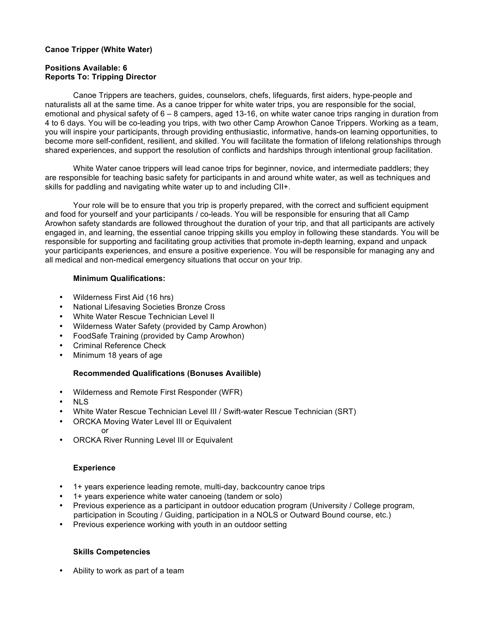### **Canoe Tripper (White Water)**

## **Positions Available: 6 Reports To: Tripping Director**

Canoe Trippers are teachers, guides, counselors, chefs, lifeguards, first aiders, hype-people and naturalists all at the same time. As a canoe tripper for white water trips, you are responsible for the social, emotional and physical safety of 6 – 8 campers, aged 13-16, on white water canoe trips ranging in duration from 4 to 6 days. You will be co-leading you trips, with two other Camp Arowhon Canoe Trippers. Working as a team, you will inspire your participants, through providing enthusiastic, informative, hands-on learning opportunities, to become more self-confident, resilient, and skilled. You will facilitate the formation of lifelong relationships through shared experiences, and support the resolution of conflicts and hardships through intentional group facilitation.

White Water canoe trippers will lead canoe trips for beginner, novice, and intermediate paddlers; they are responsible for teaching basic safety for participants in and around white water, as well as techniques and skills for paddling and navigating white water up to and including CII+.

Your role will be to ensure that you trip is properly prepared, with the correct and sufficient equipment and food for yourself and your participants / co-leads. You will be responsible for ensuring that all Camp Arowhon safety standards are followed throughout the duration of your trip, and that all participants are actively engaged in, and learning, the essential canoe tripping skills you employ in following these standards. You will be responsible for supporting and facilitating group activities that promote in-depth learning, expand and unpack your participants experiences, and ensure a positive experience. You will be responsible for managing any and all medical and non-medical emergency situations that occur on your trip.

#### **Minimum Qualifications:**

- Wilderness First Aid (16 hrs)
- National Lifesaving Societies Bronze Cross
- White Water Rescue Technician Level II
- Wilderness Water Safety (provided by Camp Arowhon)
- FoodSafe Training (provided by Camp Arowhon)
- Criminal Reference Check
- Minimum 18 years of age

#### **Recommended Qualifications (Bonuses Availible)**

- Wilderness and Remote First Responder (WFR)
- NLS
- White Water Rescue Technician Level III / Swift-water Rescue Technician (SRT)
- ORCKA Moving Water Level III or Equivalent or
- ORCKA River Running Level III or Equivalent

## **Experience**

- 1+ years experience leading remote, multi-day, backcountry canoe trips
- 1+ years experience white water canoeing (tandem or solo)
- Previous experience as a participant in outdoor education program (University / College program, participation in Scouting / Guiding, participation in a NOLS or Outward Bound course, etc.)
- Previous experience working with youth in an outdoor setting

## **Skills Competencies**

• Ability to work as part of a team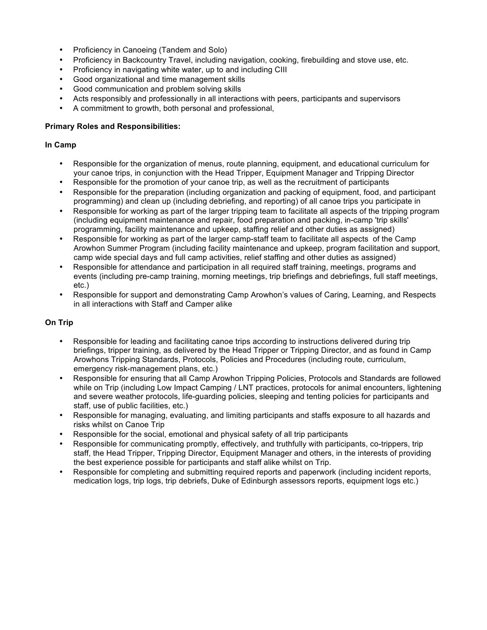- Proficiency in Canoeing (Tandem and Solo)
- Proficiency in Backcountry Travel, including navigation, cooking, firebuilding and stove use, etc.
- Proficiency in navigating white water, up to and including CIII
- Good organizational and time management skills
- Good communication and problem solving skills
- Acts responsibly and professionally in all interactions with peers, participants and supervisors
- A commitment to growth, both personal and professional,

#### **In Camp**

- Responsible for the organization of menus, route planning, equipment, and educational curriculum for your canoe trips, in conjunction with the Head Tripper, Equipment Manager and Tripping Director
- Responsible for the promotion of your canoe trip, as well as the recruitment of participants
- Responsible for the preparation (including organization and packing of equipment, food, and participant programming) and clean up (including debriefing, and reporting) of all canoe trips you participate in
- Responsible for working as part of the larger tripping team to facilitate all aspects of the tripping program (including equipment maintenance and repair, food preparation and packing, in-camp 'trip skills' programming, facility maintenance and upkeep, staffing relief and other duties as assigned)
- Responsible for working as part of the larger camp-staff team to facilitate all aspects of the Camp Arowhon Summer Program (including facility maintenance and upkeep, program facilitation and support, camp wide special days and full camp activities, relief staffing and other duties as assigned)
- Responsible for attendance and participation in all required staff training, meetings, programs and events (including pre-camp training, morning meetings, trip briefings and debriefings, full staff meetings, etc.)
- Responsible for support and demonstrating Camp Arowhon's values of Caring, Learning, and Respects in all interactions with Staff and Camper alike

- Responsible for leading and facilitating canoe trips according to instructions delivered during trip briefings, tripper training, as delivered by the Head Tripper or Tripping Director, and as found in Camp Arowhons Tripping Standards, Protocols, Policies and Procedures (including route, curriculum, emergency risk-management plans, etc.)
- Responsible for ensuring that all Camp Arowhon Tripping Policies, Protocols and Standards are followed while on Trip (including Low Impact Camping / LNT practices, protocols for animal encounters, lightening and severe weather protocols, life-guarding policies, sleeping and tenting policies for participants and staff, use of public facilities, etc.)
- Responsible for managing, evaluating, and limiting participants and staffs exposure to all hazards and risks whilst on Canoe Trip
- Responsible for the social, emotional and physical safety of all trip participants
- Responsible for communicating promptly, effectively, and truthfully with participants, co-trippers, trip staff, the Head Tripper, Tripping Director, Equipment Manager and others, in the interests of providing the best experience possible for participants and staff alike whilst on Trip.
- Responsible for completing and submitting required reports and paperwork (including incident reports, medication logs, trip logs, trip debriefs, Duke of Edinburgh assessors reports, equipment logs etc.)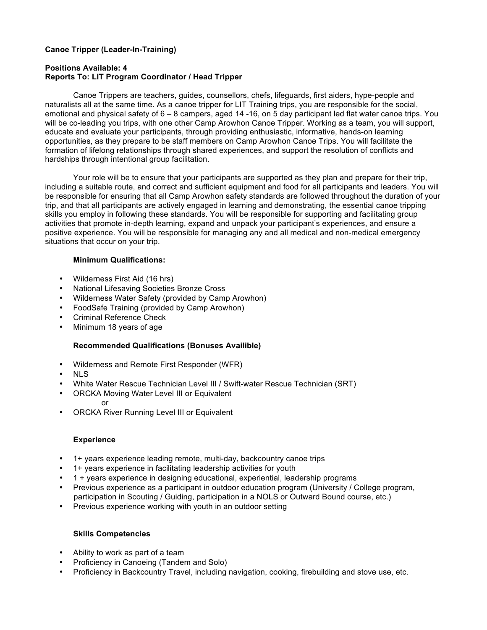# **Canoe Tripper (Leader-In-Training)**

## **Positions Available: 4 Reports To: LIT Program Coordinator / Head Tripper**

Canoe Trippers are teachers, guides, counsellors, chefs, lifeguards, first aiders, hype-people and naturalists all at the same time. As a canoe tripper for LIT Training trips, you are responsible for the social, emotional and physical safety of 6 – 8 campers, aged 14 -16, on 5 day participant led flat water canoe trips. You will be co-leading you trips, with one other Camp Arowhon Canoe Tripper. Working as a team, you will support, educate and evaluate your participants, through providing enthusiastic, informative, hands-on learning opportunities, as they prepare to be staff members on Camp Arowhon Canoe Trips. You will facilitate the formation of lifelong relationships through shared experiences, and support the resolution of conflicts and hardships through intentional group facilitation.

Your role will be to ensure that your participants are supported as they plan and prepare for their trip, including a suitable route, and correct and sufficient equipment and food for all participants and leaders. You will be responsible for ensuring that all Camp Arowhon safety standards are followed throughout the duration of your trip, and that all participants are actively engaged in learning and demonstrating, the essential canoe tripping skills you employ in following these standards. You will be responsible for supporting and facilitating group activities that promote in-depth learning, expand and unpack your participant's experiences, and ensure a positive experience. You will be responsible for managing any and all medical and non-medical emergency situations that occur on your trip.

### **Minimum Qualifications:**

- Wilderness First Aid (16 hrs)
- National Lifesaving Societies Bronze Cross
- Wilderness Water Safety (provided by Camp Arowhon)
- FoodSafe Training (provided by Camp Arowhon)
- Criminal Reference Check
- Minimum 18 years of age

## **Recommended Qualifications (Bonuses Availible)**

- Wilderness and Remote First Responder (WFR)
- NLS
- White Water Rescue Technician Level III / Swift-water Rescue Technician (SRT)
- ORCKA Moving Water Level III or Equivalent or
- ORCKA River Running Level III or Equivalent

#### **Experience**

- 1+ years experience leading remote, multi-day, backcountry canoe trips
- 1+ years experience in facilitating leadership activities for youth
- 1 + years experience in designing educational, experiential, leadership programs
- Previous experience as a participant in outdoor education program (University / College program, participation in Scouting / Guiding, participation in a NOLS or Outward Bound course, etc.)
- Previous experience working with youth in an outdoor setting

## **Skills Competencies**

- Ability to work as part of a team
- Proficiency in Canoeing (Tandem and Solo)
- Proficiency in Backcountry Travel, including navigation, cooking, firebuilding and stove use, etc.